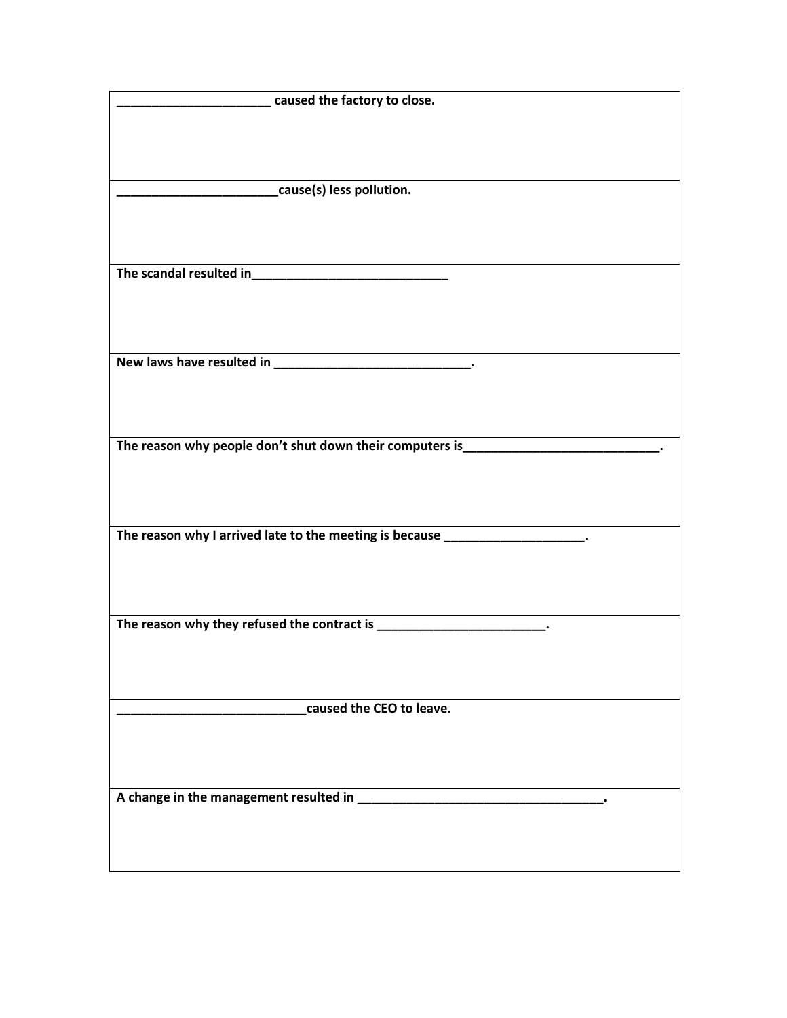| caused the factory to close.                                                      |
|-----------------------------------------------------------------------------------|
|                                                                                   |
|                                                                                   |
|                                                                                   |
|                                                                                   |
|                                                                                   |
| cause(s) less pollution.                                                          |
|                                                                                   |
|                                                                                   |
|                                                                                   |
|                                                                                   |
|                                                                                   |
|                                                                                   |
|                                                                                   |
|                                                                                   |
|                                                                                   |
|                                                                                   |
|                                                                                   |
|                                                                                   |
|                                                                                   |
|                                                                                   |
|                                                                                   |
|                                                                                   |
|                                                                                   |
|                                                                                   |
|                                                                                   |
| The reason why people don't shut down their computers is_________________________ |
|                                                                                   |
|                                                                                   |
|                                                                                   |
|                                                                                   |
|                                                                                   |
|                                                                                   |
| The reason why I arrived late to the meeting is because ___________________.      |
|                                                                                   |
|                                                                                   |
|                                                                                   |
|                                                                                   |
|                                                                                   |
| The reason why they refused the contract is ________________________.             |
|                                                                                   |
|                                                                                   |
|                                                                                   |
|                                                                                   |
|                                                                                   |
|                                                                                   |
| caused the CEO to leave.                                                          |
|                                                                                   |
|                                                                                   |
|                                                                                   |
|                                                                                   |
|                                                                                   |
|                                                                                   |
|                                                                                   |
|                                                                                   |
|                                                                                   |
|                                                                                   |
|                                                                                   |
|                                                                                   |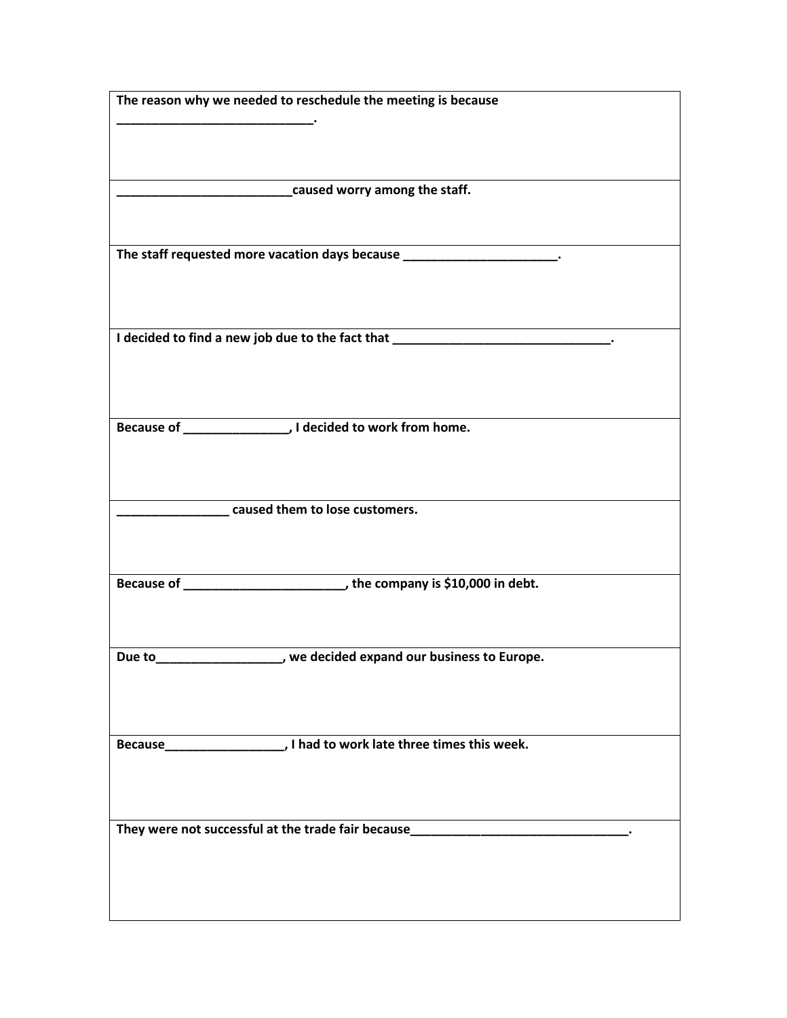| The reason why we needed to reschedule the meeting is because                                             |
|-----------------------------------------------------------------------------------------------------------|
|                                                                                                           |
|                                                                                                           |
|                                                                                                           |
|                                                                                                           |
| caused worry among the staff.                                                                             |
|                                                                                                           |
|                                                                                                           |
| The staff requested more vacation days because _________________________.                                 |
|                                                                                                           |
|                                                                                                           |
|                                                                                                           |
| I decided to find a new job due to the fact that _______________________________.                         |
|                                                                                                           |
|                                                                                                           |
|                                                                                                           |
|                                                                                                           |
|                                                                                                           |
|                                                                                                           |
|                                                                                                           |
|                                                                                                           |
| caused them to lose customers.                                                                            |
|                                                                                                           |
|                                                                                                           |
|                                                                                                           |
|                                                                                                           |
|                                                                                                           |
|                                                                                                           |
|                                                                                                           |
|                                                                                                           |
|                                                                                                           |
|                                                                                                           |
|                                                                                                           |
|                                                                                                           |
|                                                                                                           |
|                                                                                                           |
|                                                                                                           |
|                                                                                                           |
|                                                                                                           |
|                                                                                                           |
|                                                                                                           |
|                                                                                                           |
| we decided expand our business to Europe.<br>Due to<br>They were not successful at the trade fair because |